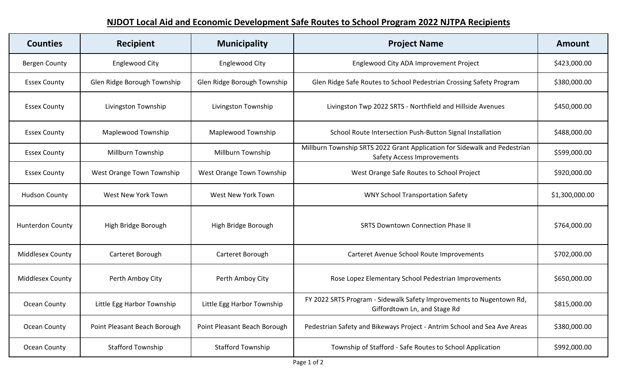## **NJDOT Local Aid and Economic Development Safe Routes to School Program 2022 NJTPA Recipients**

| <b>Counties</b>         | <b>Recipient</b>             | <b>Municipality</b>          | <b>Project Name</b>                                                                                            | <b>Amount</b>  |
|-------------------------|------------------------------|------------------------------|----------------------------------------------------------------------------------------------------------------|----------------|
| Bergen County           | <b>Englewood City</b>        | <b>Englewood City</b>        | Englewood City ADA Improvement Project                                                                         | \$423,000.00   |
| <b>Essex County</b>     | Glen Ridge Borough Township  | Glen Ridge Borough Township  | Glen Ridge Safe Routes to School Pedestrian Crossing Safety Program                                            | \$380,000.00   |
| <b>Essex County</b>     | Livingston Township          | Livingston Township          | Livingston Twp 2022 SRTS - Northfield and Hillside Avenues                                                     | \$450,000.00   |
| <b>Essex County</b>     | Maplewood Township           | <b>Maplewood Township</b>    | School Route Intersection Push-Button Signal Installation                                                      | \$488,000.00   |
| <b>Essex County</b>     | Millburn Township            | Millburn Township            | Millburn Township SRTS 2022 Grant Application for Sidewalk and Pedestrian<br><b>Safety Access Improvements</b> | \$599,000.00   |
| <b>Essex County</b>     | West Orange Town Township    | West Orange Town Township    | West Orange Safe Routes to School Project                                                                      | \$920,000.00   |
| <b>Hudson County</b>    | <b>West New York Town</b>    | <b>West New York Town</b>    | <b>WNY School Transportation Safety</b>                                                                        | \$1,300,000.00 |
| <b>Hunterdon County</b> | High Bridge Borough          | High Bridge Borough          | <b>SRTS Downtown Connection Phase II</b>                                                                       | \$764,000.00   |
| Middlesex County        | Carteret Borough             | Carteret Borough             | Carteret Avenue School Route Improvements                                                                      | \$702,000.00   |
| Middlesex County        | Perth Amboy City             | Perth Amboy City             | Rose Lopez Elementary School Pedestrian Improvements                                                           | \$650,000.00   |
| Ocean County            | Little Egg Harbor Township   | Little Egg Harbor Township   | FY 2022 SRTS Program - Sidewalk Safety Improvements to Nugentown Rd,<br>Giffordtown Ln, and Stage Rd           | \$815,000.00   |
| Ocean County            | Point Pleasant Beach Borough | Point Pleasant Beach Borough | Pedestrian Safety and Bikeways Project - Antrim School and Sea Ave Areas                                       | \$380,000.00   |
| Ocean County            | <b>Stafford Township</b>     | <b>Stafford Township</b>     | Township of Stafford - Safe Routes to School Application                                                       | \$992,000.00   |